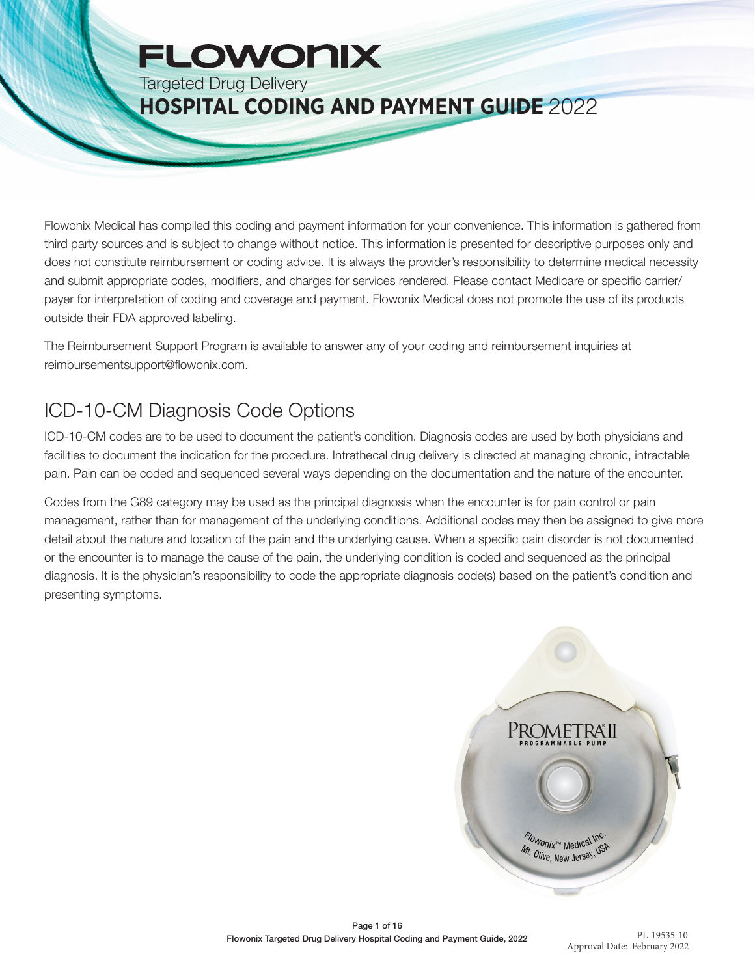# **FLOWONIX**

Targeted Drug Delivery

## **HOSPITAL CODING AND PAYMENT GUIDE** 2022

Flowonix Medical has compiled this coding and payment information for your convenience. This information is gathered from third party sources and is subject to change without notice. This information is presented for descriptive purposes only and does not constitute reimbursement or coding advice. It is always the provider's responsibility to determine medical necessity and submit appropriate codes, modifiers, and charges for services rendered. Please contact Medicare or specific carrier/ payer for interpretation of coding and coverage and payment. Flowonix Medical does not promote the use of its products outside their FDA approved labeling.

The Reimbursement Support Program is available to answer any of your coding and reimbursement inquiries at reimbursementsupport@flowonix.com.

## ICD-10-CM Diagnosis Code Options

ICD-10-CM codes are to be used to document the patient's condition. Diagnosis codes are used by both physicians and facilities to document the indication for the procedure. Intrathecal drug delivery is directed at managing chronic, intractable pain. Pain can be coded and sequenced several ways depending on the documentation and the nature of the encounter.

Codes from the G89 category may be used as the principal diagnosis when the encounter is for pain control or pain management, rather than for management of the underlying conditions. Additional codes may then be assigned to give more detail about the nature and location of the pain and the underlying cause. When a specific pain disorder is not documented or the encounter is to manage the cause of the pain, the underlying condition is coded and sequenced as the principal diagnosis. It is the physician's responsibility to code the appropriate diagnosis code(s) based on the patient's condition and presenting symptoms.

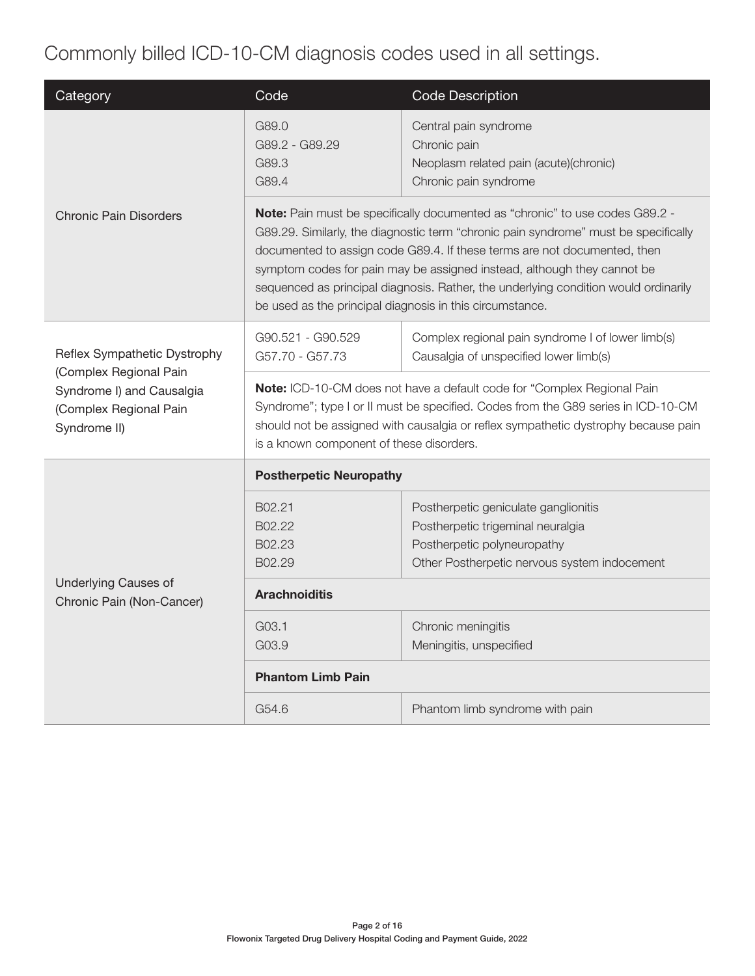## Commonly billed ICD-10-CM diagnosis codes used in all settings.

| Category                                                                                      | Code                                                                                                                                                                                                                                                                                                                                                                                                                                                                          | <b>Code Description</b>                                                                                                                                  |  |  |
|-----------------------------------------------------------------------------------------------|-------------------------------------------------------------------------------------------------------------------------------------------------------------------------------------------------------------------------------------------------------------------------------------------------------------------------------------------------------------------------------------------------------------------------------------------------------------------------------|----------------------------------------------------------------------------------------------------------------------------------------------------------|--|--|
|                                                                                               | G89.0<br>G89.2 - G89.29<br>G89.3<br>G89.4                                                                                                                                                                                                                                                                                                                                                                                                                                     | Central pain syndrome<br>Chronic pain<br>Neoplasm related pain (acute)(chronic)<br>Chronic pain syndrome                                                 |  |  |
| <b>Chronic Pain Disorders</b>                                                                 | Note: Pain must be specifically documented as "chronic" to use codes G89.2 -<br>G89.29. Similarly, the diagnostic term "chronic pain syndrome" must be specifically<br>documented to assign code G89.4. If these terms are not documented, then<br>symptom codes for pain may be assigned instead, although they cannot be<br>sequenced as principal diagnosis. Rather, the underlying condition would ordinarily<br>be used as the principal diagnosis in this circumstance. |                                                                                                                                                          |  |  |
| Reflex Sympathetic Dystrophy                                                                  | G90.521 - G90.529<br>G57.70 - G57.73                                                                                                                                                                                                                                                                                                                                                                                                                                          | Complex regional pain syndrome I of lower limb(s)<br>Causalgia of unspecified lower limb(s)                                                              |  |  |
| (Complex Regional Pain<br>Syndrome I) and Causalgia<br>(Complex Regional Pain<br>Syndrome II) | Note: ICD-10-CM does not have a default code for "Complex Regional Pain<br>Syndrome"; type I or II must be specified. Codes from the G89 series in ICD-10-CM<br>should not be assigned with causalgia or reflex sympathetic dystrophy because pain<br>is a known component of these disorders.                                                                                                                                                                                |                                                                                                                                                          |  |  |
|                                                                                               | <b>Postherpetic Neuropathy</b>                                                                                                                                                                                                                                                                                                                                                                                                                                                |                                                                                                                                                          |  |  |
|                                                                                               | B02.21<br>B02.22<br>B02.23<br>B02.29                                                                                                                                                                                                                                                                                                                                                                                                                                          | Postherpetic geniculate ganglionitis<br>Postherpetic trigeminal neuralgia<br>Postherpetic polyneuropathy<br>Other Postherpetic nervous system indocement |  |  |
| <b>Underlying Causes of</b><br>Chronic Pain (Non-Cancer)                                      | <b>Arachnoiditis</b>                                                                                                                                                                                                                                                                                                                                                                                                                                                          |                                                                                                                                                          |  |  |
|                                                                                               | G03.1<br>Chronic meningitis<br>G03.9<br>Meningitis, unspecified                                                                                                                                                                                                                                                                                                                                                                                                               |                                                                                                                                                          |  |  |
|                                                                                               | <b>Phantom Limb Pain</b>                                                                                                                                                                                                                                                                                                                                                                                                                                                      |                                                                                                                                                          |  |  |
|                                                                                               | G54.6<br>Phantom limb syndrome with pain                                                                                                                                                                                                                                                                                                                                                                                                                                      |                                                                                                                                                          |  |  |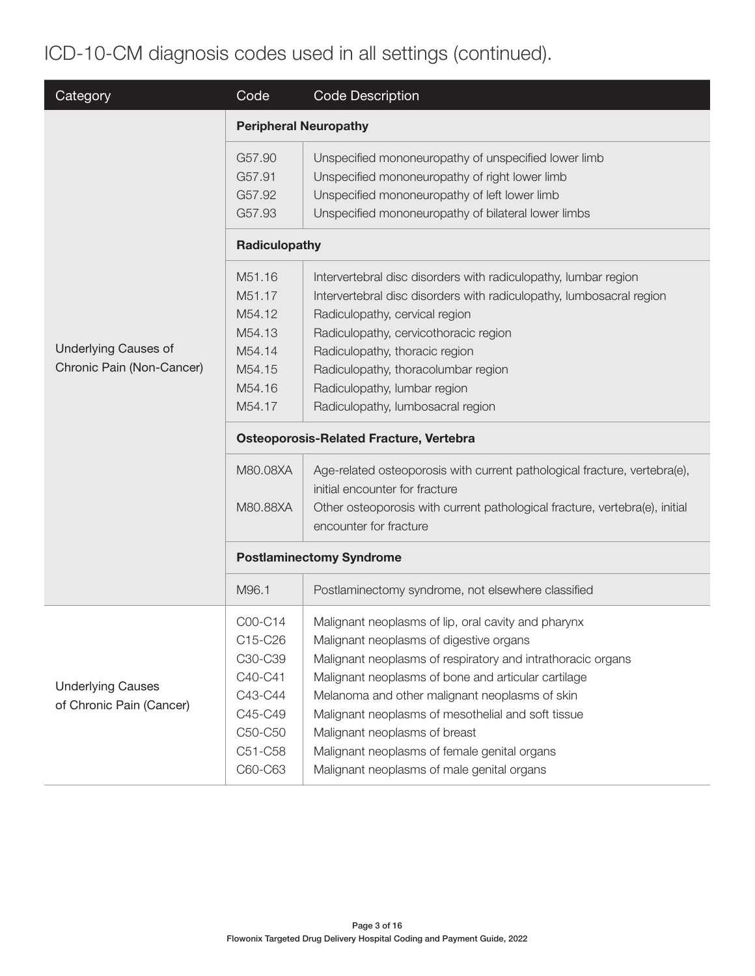## ICD-10-CM diagnosis codes used in all settings (continued).

| Category                                                 | Code                                                                                                 | <b>Code Description</b>                                                                                                                                                                                                                                                                                                                                                                                                                                                                                                                                                                                                                    |  |  |  |  |
|----------------------------------------------------------|------------------------------------------------------------------------------------------------------|--------------------------------------------------------------------------------------------------------------------------------------------------------------------------------------------------------------------------------------------------------------------------------------------------------------------------------------------------------------------------------------------------------------------------------------------------------------------------------------------------------------------------------------------------------------------------------------------------------------------------------------------|--|--|--|--|
|                                                          | <b>Peripheral Neuropathy</b>                                                                         |                                                                                                                                                                                                                                                                                                                                                                                                                                                                                                                                                                                                                                            |  |  |  |  |
|                                                          | G57.90<br>G57.91<br>G57.92                                                                           | Unspecified mononeuropathy of unspecified lower limb<br>Unspecified mononeuropathy of right lower limb<br>Unspecified mononeuropathy of left lower limb                                                                                                                                                                                                                                                                                                                                                                                                                                                                                    |  |  |  |  |
|                                                          | G57.93<br>Radiculopathy                                                                              | Unspecified mononeuropathy of bilateral lower limbs                                                                                                                                                                                                                                                                                                                                                                                                                                                                                                                                                                                        |  |  |  |  |
| <b>Underlying Causes of</b><br>Chronic Pain (Non-Cancer) | M51.16<br>M51.17<br>M54.12<br>M54.13<br>M54.14<br>M54.15<br>M54.16<br>M54.17<br>M80.08XA<br>M80.88XA | Intervertebral disc disorders with radiculopathy, lumbar region<br>Intervertebral disc disorders with radiculopathy, lumbosacral region<br>Radiculopathy, cervical region<br>Radiculopathy, cervicothoracic region<br>Radiculopathy, thoracic region<br>Radiculopathy, thoracolumbar region<br>Radiculopathy, lumbar region<br>Radiculopathy, lumbosacral region<br><b>Osteoporosis-Related Fracture, Vertebra</b><br>Age-related osteoporosis with current pathological fracture, vertebra(e),<br>initial encounter for fracture<br>Other osteoporosis with current pathological fracture, vertebra(e), initial<br>encounter for fracture |  |  |  |  |
|                                                          | <b>Postlaminectomy Syndrome</b>                                                                      |                                                                                                                                                                                                                                                                                                                                                                                                                                                                                                                                                                                                                                            |  |  |  |  |
|                                                          | M96.1                                                                                                | Postlaminectomy syndrome, not elsewhere classified                                                                                                                                                                                                                                                                                                                                                                                                                                                                                                                                                                                         |  |  |  |  |
| <b>Underlying Causes</b><br>of Chronic Pain (Cancer)     | C00-C14<br>C15-C26<br>C30-C39<br>C40-C41<br>C43-C44<br>C45-C49<br>C50-C50<br>C51-C58<br>C60-C63      | Malignant neoplasms of lip, oral cavity and pharynx<br>Malignant neoplasms of digestive organs<br>Malignant neoplasms of respiratory and intrathoracic organs<br>Malignant neoplasms of bone and articular cartilage<br>Melanoma and other malignant neoplasms of skin<br>Malignant neoplasms of mesothelial and soft tissue<br>Malignant neoplasms of breast<br>Malignant neoplasms of female genital organs<br>Malignant neoplasms of male genital organs                                                                                                                                                                                |  |  |  |  |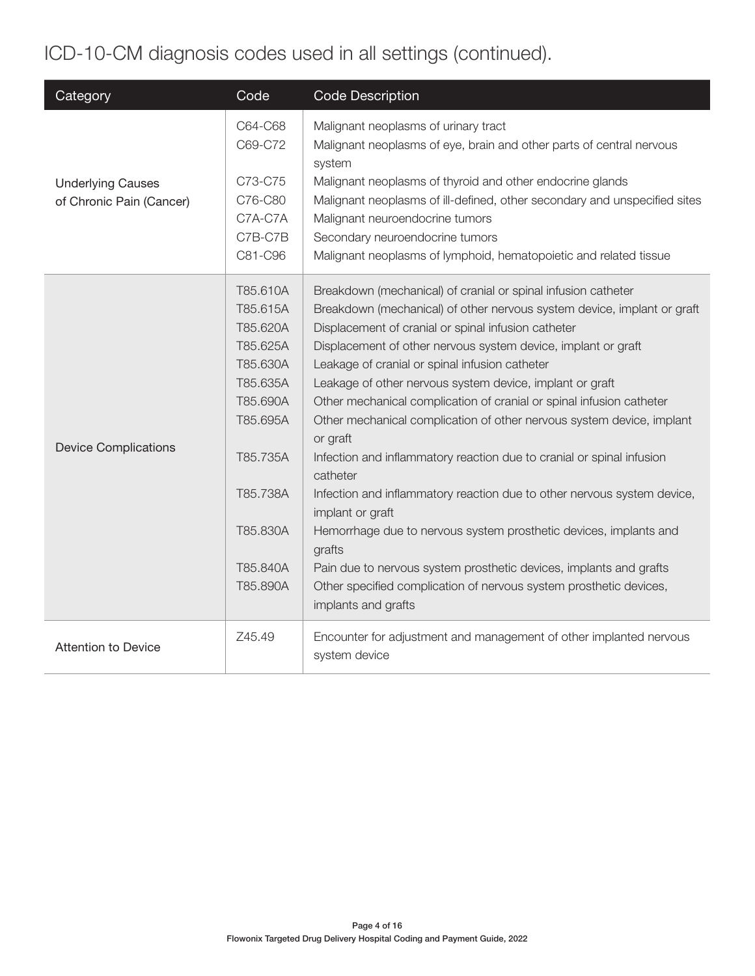## ICD-10-CM diagnosis codes used in all settings (continued).

| Category                                             | Code                                                                                                                                                     | <b>Code Description</b>                                                                                                                                                                                                                                                                                                                                                                                                                                                                                                                                                                                                                                                                                                                                                                                                                                                                                                                                                           |
|------------------------------------------------------|----------------------------------------------------------------------------------------------------------------------------------------------------------|-----------------------------------------------------------------------------------------------------------------------------------------------------------------------------------------------------------------------------------------------------------------------------------------------------------------------------------------------------------------------------------------------------------------------------------------------------------------------------------------------------------------------------------------------------------------------------------------------------------------------------------------------------------------------------------------------------------------------------------------------------------------------------------------------------------------------------------------------------------------------------------------------------------------------------------------------------------------------------------|
| <b>Underlying Causes</b><br>of Chronic Pain (Cancer) | C64-C68<br>C69-C72<br>C73-C75<br>C76-C80<br>C7A-C7A<br>C7B-C7B<br>C81-C96                                                                                | Malignant neoplasms of urinary tract<br>Malignant neoplasms of eye, brain and other parts of central nervous<br>system<br>Malignant neoplasms of thyroid and other endocrine glands<br>Malignant neoplasms of ill-defined, other secondary and unspecified sites<br>Malignant neuroendocrine tumors<br>Secondary neuroendocrine tumors<br>Malignant neoplasms of lymphoid, hematopoietic and related tissue                                                                                                                                                                                                                                                                                                                                                                                                                                                                                                                                                                       |
| <b>Device Complications</b>                          | T85.610A<br>T85.615A<br>T85.620A<br>T85.625A<br>T85.630A<br>T85.635A<br>T85.690A<br>T85.695A<br>T85.735A<br>T85.738A<br>T85.830A<br>T85.840A<br>T85.890A | Breakdown (mechanical) of cranial or spinal infusion catheter<br>Breakdown (mechanical) of other nervous system device, implant or graft<br>Displacement of cranial or spinal infusion catheter<br>Displacement of other nervous system device, implant or graft<br>Leakage of cranial or spinal infusion catheter<br>Leakage of other nervous system device, implant or graft<br>Other mechanical complication of cranial or spinal infusion catheter<br>Other mechanical complication of other nervous system device, implant<br>or graft<br>Infection and inflammatory reaction due to cranial or spinal infusion<br>catheter<br>Infection and inflammatory reaction due to other nervous system device,<br>implant or graft<br>Hemorrhage due to nervous system prosthetic devices, implants and<br>grafts<br>Pain due to nervous system prosthetic devices, implants and grafts<br>Other specified complication of nervous system prosthetic devices,<br>implants and grafts |
| <b>Attention to Device</b>                           | Z45.49                                                                                                                                                   | Encounter for adjustment and management of other implanted nervous<br>system device                                                                                                                                                                                                                                                                                                                                                                                                                                                                                                                                                                                                                                                                                                                                                                                                                                                                                               |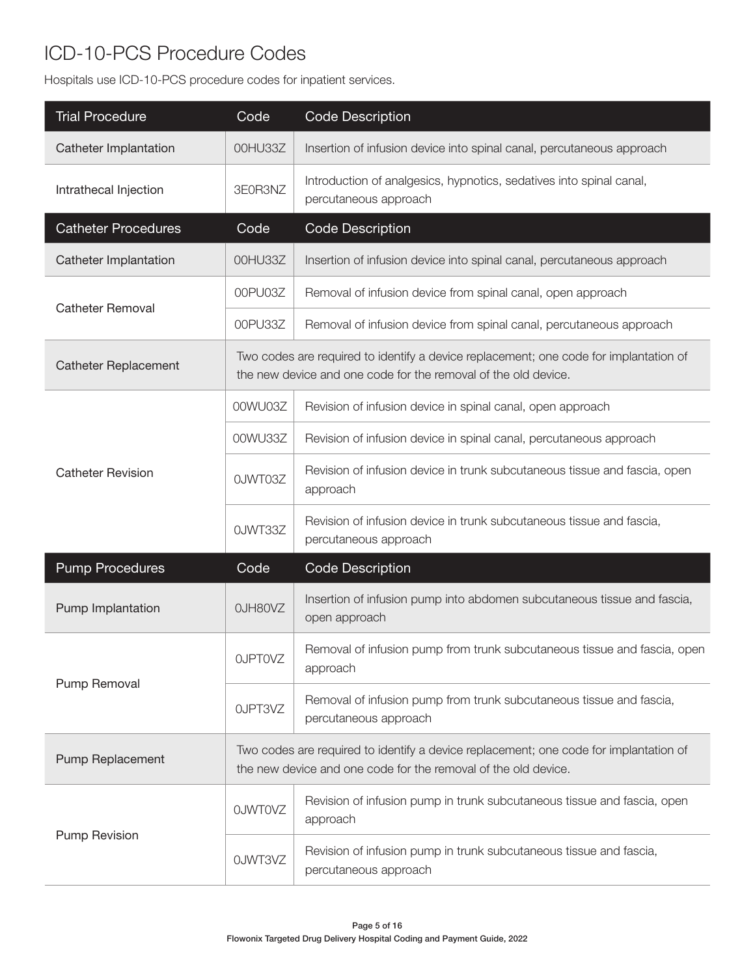#### ICD-10-PCS Procedure Codes

Hospitals use ICD-10-PCS procedure codes for inpatient services.

| <b>Trial Procedure</b>      | Code                                                                                                                                                    | <b>Code Description</b>                                                                                                                                 |  |  |
|-----------------------------|---------------------------------------------------------------------------------------------------------------------------------------------------------|---------------------------------------------------------------------------------------------------------------------------------------------------------|--|--|
| Catheter Implantation       | 00HU33Z                                                                                                                                                 | Insertion of infusion device into spinal canal, percutaneous approach                                                                                   |  |  |
| Intrathecal Injection       | 3E0R3NZ                                                                                                                                                 | Introduction of analgesics, hypnotics, sedatives into spinal canal,<br>percutaneous approach                                                            |  |  |
| <b>Catheter Procedures</b>  | Code                                                                                                                                                    | <b>Code Description</b>                                                                                                                                 |  |  |
| Catheter Implantation       | 00HU33Z                                                                                                                                                 | Insertion of infusion device into spinal canal, percutaneous approach                                                                                   |  |  |
|                             | 00PU03Z                                                                                                                                                 | Removal of infusion device from spinal canal, open approach                                                                                             |  |  |
| <b>Catheter Removal</b>     | 00PU33Z                                                                                                                                                 | Removal of infusion device from spinal canal, percutaneous approach                                                                                     |  |  |
| <b>Catheter Replacement</b> |                                                                                                                                                         | Two codes are required to identify a device replacement; one code for implantation of<br>the new device and one code for the removal of the old device. |  |  |
|                             | 00WU03Z                                                                                                                                                 | Revision of infusion device in spinal canal, open approach                                                                                              |  |  |
|                             | 00WU33Z                                                                                                                                                 | Revision of infusion device in spinal canal, percutaneous approach                                                                                      |  |  |
| <b>Catheter Revision</b>    | OJWT03Z                                                                                                                                                 | Revision of infusion device in trunk subcutaneous tissue and fascia, open<br>approach                                                                   |  |  |
|                             | 0JWT33Z                                                                                                                                                 | Revision of infusion device in trunk subcutaneous tissue and fascia,<br>percutaneous approach                                                           |  |  |
| <b>Pump Procedures</b>      | Code                                                                                                                                                    | <b>Code Description</b>                                                                                                                                 |  |  |
| Pump Implantation           | OJH80VZ                                                                                                                                                 | Insertion of infusion pump into abdomen subcutaneous tissue and fascia,<br>open approach                                                                |  |  |
|                             | OJPTOVZ                                                                                                                                                 | Removal of infusion pump from trunk subcutaneous tissue and fascia, open<br>approach                                                                    |  |  |
| Pump Removal                | OJPT3VZ                                                                                                                                                 | Removal of infusion pump from trunk subcutaneous tissue and fascia,<br>percutaneous approach                                                            |  |  |
| Pump Replacement            | Two codes are required to identify a device replacement; one code for implantation of<br>the new device and one code for the removal of the old device. |                                                                                                                                                         |  |  |
|                             | <b>OJWTOVZ</b>                                                                                                                                          | Revision of infusion pump in trunk subcutaneous tissue and fascia, open<br>approach                                                                     |  |  |
| <b>Pump Revision</b>        | OJWT3VZ                                                                                                                                                 | Revision of infusion pump in trunk subcutaneous tissue and fascia,<br>percutaneous approach                                                             |  |  |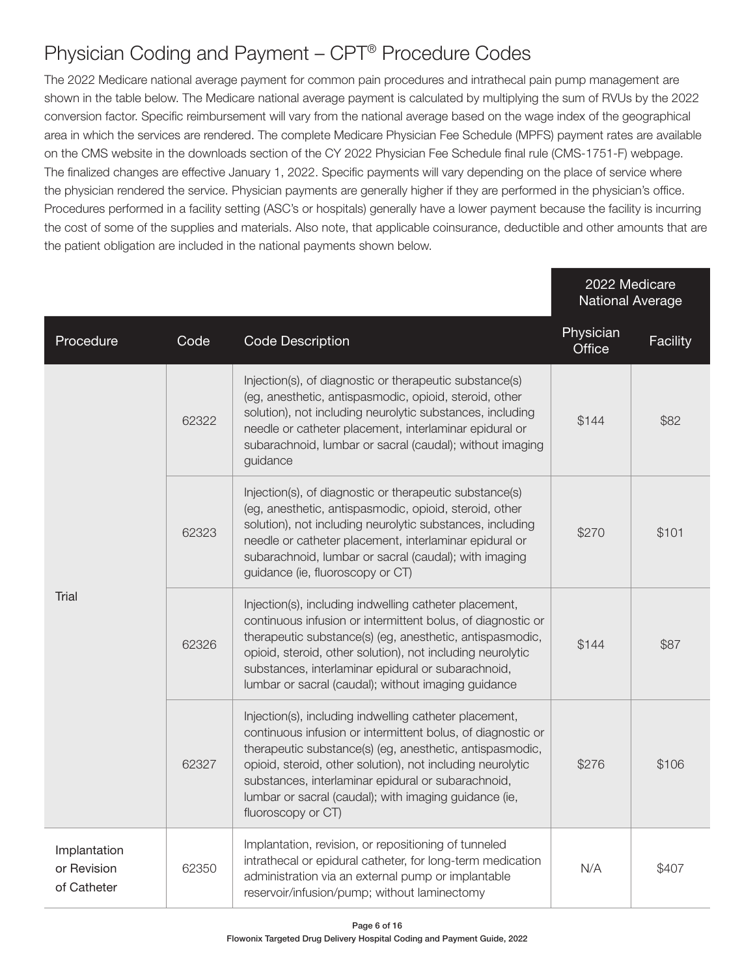#### Physician Coding and Payment – CPT® Procedure Codes

The 2022 Medicare national average payment for common pain procedures and intrathecal pain pump management are shown in the table below. The Medicare national average payment is calculated by multiplying the sum of RVUs by the 2022 conversion factor. Specific reimbursement will vary from the national average based on the wage index of the geographical area in which the services are rendered. The complete Medicare Physician Fee Schedule (MPFS) payment rates are available on the CMS website in the downloads section of the CY 2022 Physician Fee Schedule final rule (CMS-1751-F) webpage. The finalized changes are effective January 1, 2022. Specific payments will vary depending on the place of service where the physician rendered the service. Physician payments are generally higher if they are performed in the physician's office. Procedures performed in a facility setting (ASC's or hospitals) generally have a lower payment because the facility is incurring the cost of some of the supplies and materials. Also note, that applicable coinsurance, deductible and other amounts that are the patient obligation are included in the national payments shown below.

|                                            |                                                                                                                                                                                                                                                                                                                                                |                                                                                                                                                                                                                                                                                                                                                                                      | 2022 Medicare<br><b>National Average</b> |          |
|--------------------------------------------|------------------------------------------------------------------------------------------------------------------------------------------------------------------------------------------------------------------------------------------------------------------------------------------------------------------------------------------------|--------------------------------------------------------------------------------------------------------------------------------------------------------------------------------------------------------------------------------------------------------------------------------------------------------------------------------------------------------------------------------------|------------------------------------------|----------|
| Procedure                                  | Code                                                                                                                                                                                                                                                                                                                                           | <b>Code Description</b>                                                                                                                                                                                                                                                                                                                                                              | Physician<br>Office                      | Facility |
|                                            | 62322                                                                                                                                                                                                                                                                                                                                          | Injection(s), of diagnostic or therapeutic substance(s)<br>(eg, anesthetic, antispasmodic, opioid, steroid, other<br>solution), not including neurolytic substances, including<br>needle or catheter placement, interlaminar epidural or<br>subarachnoid, lumbar or sacral (caudal); without imaging<br>guidance                                                                     | \$144                                    | \$82     |
|                                            | Injection(s), of diagnostic or therapeutic substance(s)<br>(eg, anesthetic, antispasmodic, opioid, steroid, other<br>solution), not including neurolytic substances, including<br>62323<br>needle or catheter placement, interlaminar epidural or<br>subarachnoid, lumbar or sacral (caudal); with imaging<br>guidance (ie, fluoroscopy or CT) |                                                                                                                                                                                                                                                                                                                                                                                      | \$270                                    | \$101    |
| Trial                                      | 62326                                                                                                                                                                                                                                                                                                                                          | Injection(s), including indwelling catheter placement,<br>continuous infusion or intermittent bolus, of diagnostic or<br>therapeutic substance(s) (eg, anesthetic, antispasmodic,<br>opioid, steroid, other solution), not including neurolytic<br>substances, interlaminar epidural or subarachnoid,<br>lumbar or sacral (caudal); without imaging guidance                         | \$144                                    | \$87     |
|                                            | 62327                                                                                                                                                                                                                                                                                                                                          | Injection(s), including indwelling catheter placement,<br>continuous infusion or intermittent bolus, of diagnostic or<br>therapeutic substance(s) (eg, anesthetic, antispasmodic,<br>opioid, steroid, other solution), not including neurolytic<br>substances, interlaminar epidural or subarachnoid,<br>lumbar or sacral (caudal); with imaging guidance (ie,<br>fluoroscopy or CT) | \$276                                    | \$106    |
| Implantation<br>or Revision<br>of Catheter | 62350                                                                                                                                                                                                                                                                                                                                          | Implantation, revision, or repositioning of tunneled<br>intrathecal or epidural catheter, for long-term medication<br>administration via an external pump or implantable<br>reservoir/infusion/pump; without laminectomy                                                                                                                                                             | N/A                                      | \$407    |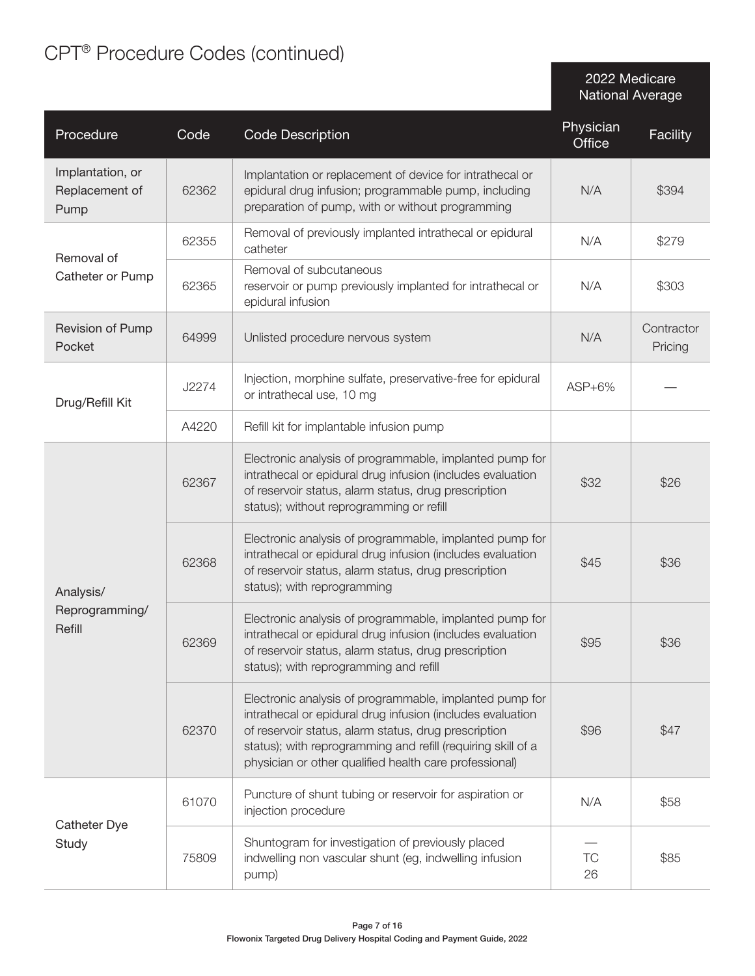## CPT® Procedure Codes (continued)

2022 Medicare National Average

| Procedure                                  | Code  | <b>Code Description</b>                                                                                                                                                                                                                                                                                 | Physician<br>Office | Facility              |
|--------------------------------------------|-------|---------------------------------------------------------------------------------------------------------------------------------------------------------------------------------------------------------------------------------------------------------------------------------------------------------|---------------------|-----------------------|
| Implantation, or<br>Replacement of<br>Pump | 62362 | Implantation or replacement of device for intrathecal or<br>epidural drug infusion; programmable pump, including<br>preparation of pump, with or without programming                                                                                                                                    | N/A                 | \$394                 |
| Removal of                                 | 62355 | Removal of previously implanted intrathecal or epidural<br>catheter                                                                                                                                                                                                                                     | N/A                 | \$279                 |
| Catheter or Pump                           | 62365 | Removal of subcutaneous<br>reservoir or pump previously implanted for intrathecal or<br>epidural infusion                                                                                                                                                                                               | N/A                 | \$303                 |
| Revision of Pump<br>Pocket                 | 64999 | Unlisted procedure nervous system                                                                                                                                                                                                                                                                       | N/A                 | Contractor<br>Pricing |
| Drug/Refill Kit                            | J2274 | Injection, morphine sulfate, preservative-free for epidural<br>or intrathecal use, 10 mg                                                                                                                                                                                                                | $ASP+6\%$           |                       |
|                                            | A4220 | Refill kit for implantable infusion pump                                                                                                                                                                                                                                                                |                     |                       |
| Analysis/<br>Reprogramming/<br>Refill      | 62367 | Electronic analysis of programmable, implanted pump for<br>intrathecal or epidural drug infusion (includes evaluation<br>of reservoir status, alarm status, drug prescription<br>status); without reprogramming or refill                                                                               | \$32                | \$26                  |
|                                            | 62368 | Electronic analysis of programmable, implanted pump for<br>intrathecal or epidural drug infusion (includes evaluation<br>of reservoir status, alarm status, drug prescription<br>status); with reprogramming                                                                                            | \$45                | \$36                  |
|                                            | 62369 | Electronic analysis of programmable, implanted pump for<br>intrathecal or epidural drug infusion (includes evaluation<br>of reservoir status, alarm status, drug prescription<br>status); with reprogramming and refill                                                                                 | \$95                | \$36                  |
|                                            | 62370 | Electronic analysis of programmable, implanted pump for<br>intrathecal or epidural drug infusion (includes evaluation<br>of reservoir status, alarm status, drug prescription<br>status); with reprogramming and refill (requiring skill of a<br>physician or other qualified health care professional) | \$96                | \$47                  |
|                                            | 61070 | Puncture of shunt tubing or reservoir for aspiration or<br>injection procedure                                                                                                                                                                                                                          | N/A                 | \$58                  |
| Catheter Dye<br>Study                      | 75809 | Shuntogram for investigation of previously placed<br>indwelling non vascular shunt (eg, indwelling infusion<br>pump)                                                                                                                                                                                    | TC<br>26            | \$85                  |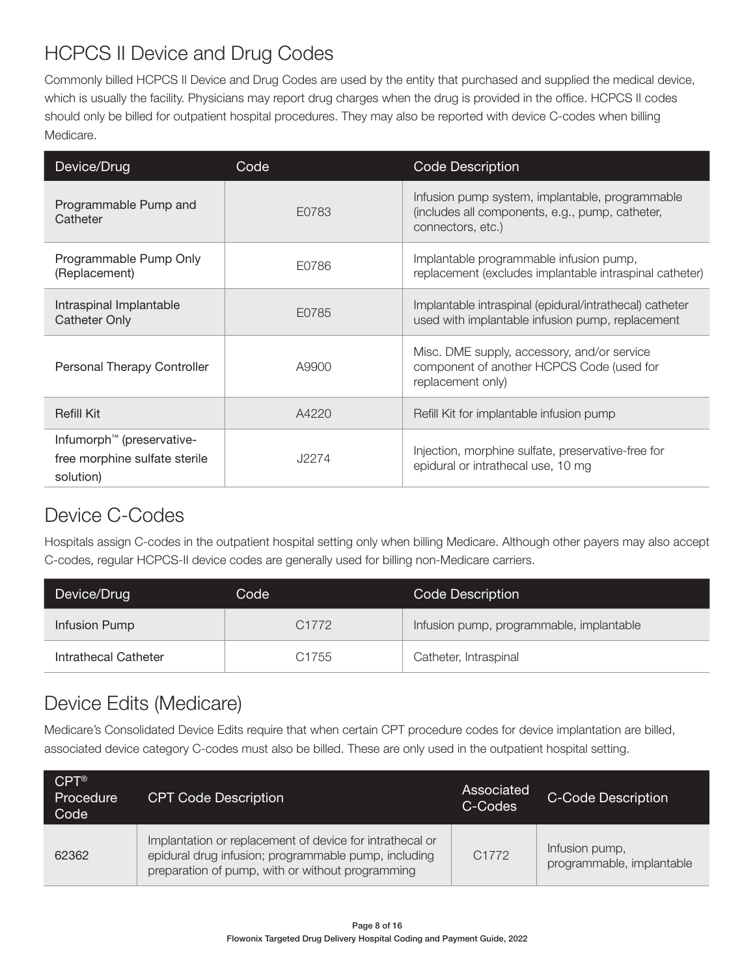#### HCPCS II Device and Drug Codes

Commonly billed HCPCS II Device and Drug Codes are used by the entity that purchased and supplied the medical device, which is usually the facility. Physicians may report drug charges when the drug is provided in the office. HCPCS II codes should only be billed for outpatient hospital procedures. They may also be reported with device C-codes when billing Medicare.

| Device/Drug                                                                         | Code  | <b>Code Description</b>                                                                                                 |
|-------------------------------------------------------------------------------------|-------|-------------------------------------------------------------------------------------------------------------------------|
| Programmable Pump and<br>Catheter                                                   | E0783 | Infusion pump system, implantable, programmable<br>(includes all components, e.g., pump, catheter,<br>connectors, etc.) |
| Programmable Pump Only<br>(Replacement)                                             | E0786 | Implantable programmable infusion pump,<br>replacement (excludes implantable intraspinal catheter)                      |
| Intraspinal Implantable<br><b>Catheter Only</b>                                     | E0785 | Implantable intraspinal (epidural/intrathecal) catheter<br>used with implantable infusion pump, replacement             |
| Personal Therapy Controller                                                         | A9900 | Misc. DME supply, accessory, and/or service<br>component of another HCPCS Code (used for<br>replacement only)           |
| Refill Kit                                                                          | A4220 | Refill Kit for implantable infusion pump                                                                                |
| Infumorph <sup>™</sup> (preservative-<br>free morphine sulfate sterile<br>solution) | J2274 | Injection, morphine sulfate, preservative-free for<br>epidural or intrathecal use, 10 mg                                |

#### Device C-Codes

Hospitals assign C-codes in the outpatient hospital setting only when billing Medicare. Although other payers may also accept C-codes, regular HCPCS-II device codes are generally used for billing non-Medicare carriers.

| Device/Drug<br>Code  |                   | Code Description                         |  |  |
|----------------------|-------------------|------------------------------------------|--|--|
| Infusion Pump        | C <sub>1772</sub> | Infusion pump, programmable, implantable |  |  |
| Intrathecal Catheter | C <sub>1755</sub> | Catheter, Intraspinal                    |  |  |

#### Device Edits (Medicare)

Medicare's Consolidated Device Edits require that when certain CPT procedure codes for device implantation are billed, associated device category C-codes must also be billed. These are only used in the outpatient hospital setting.

| $CPT^{\circledR}$<br>Procedure<br>Code | <b>CPT Code Description</b>                                                                                                                                          | Associated<br>C-Codes | C-Code Description                          |
|----------------------------------------|----------------------------------------------------------------------------------------------------------------------------------------------------------------------|-----------------------|---------------------------------------------|
| 62362                                  | Implantation or replacement of device for intrathecal or<br>epidural drug infusion; programmable pump, including<br>preparation of pump, with or without programming | C <sub>1772</sub>     | Infusion pump,<br>programmable, implantable |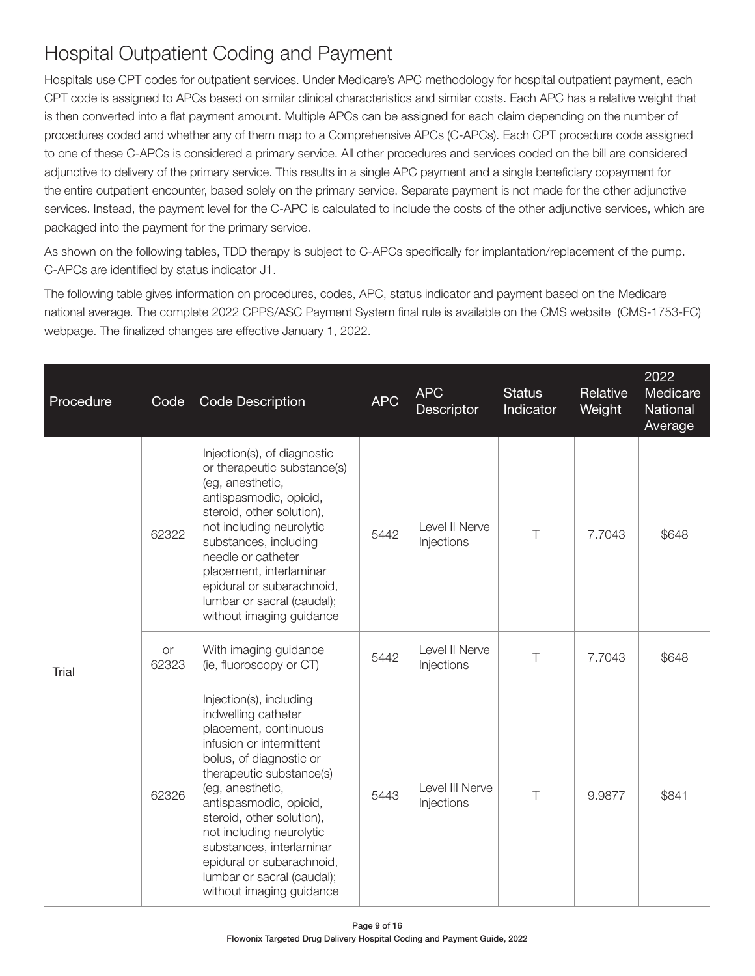### Hospital Outpatient Coding and Payment

Hospitals use CPT codes for outpatient services. Under Medicare's APC methodology for hospital outpatient payment, each CPT code is assigned to APCs based on similar clinical characteristics and similar costs. Each APC has a relative weight that is then converted into a flat payment amount. Multiple APCs can be assigned for each claim depending on the number of procedures coded and whether any of them map to a Comprehensive APCs (C-APCs). Each CPT procedure code assigned to one of these C-APCs is considered a primary service. All other procedures and services coded on the bill are considered adjunctive to delivery of the primary service. This results in a single APC payment and a single beneficiary copayment for the entire outpatient encounter, based solely on the primary service. Separate payment is not made for the other adjunctive services. Instead, the payment level for the C-APC is calculated to include the costs of the other adjunctive services, which are packaged into the payment for the primary service.

As shown on the following tables, TDD therapy is subject to C-APCs specifically for implantation/replacement of the pump. C-APCs are identified by status indicator J1.

The following table gives information on procedures, codes, APC, status indicator and payment based on the Medicare national average. The complete 2022 CPPS/ASC Payment System final rule is available on the CMS website (CMS-1753-FC) webpage. The finalized changes are effective January 1, 2022.

| Procedure | Code        | Code Description                                                                                                                                                                                                                                                                                                                                                                     | <b>APC</b> | <b>APC</b><br>Descriptor      | <b>Status</b><br>Indicator | Relative<br>Weight | 2022<br>Medicare<br>National<br>Average |
|-----------|-------------|--------------------------------------------------------------------------------------------------------------------------------------------------------------------------------------------------------------------------------------------------------------------------------------------------------------------------------------------------------------------------------------|------------|-------------------------------|----------------------------|--------------------|-----------------------------------------|
| Trial     | 62322       | Injection(s), of diagnostic<br>or therapeutic substance(s)<br>(eg, anesthetic,<br>antispasmodic, opioid,<br>steroid, other solution),<br>not including neurolytic<br>substances, including<br>needle or catheter<br>placement, interlaminar<br>epidural or subarachnoid,<br>lumbar or sacral (caudal);<br>without imaging guidance                                                   | 5442       | Level II Nerve<br>Injections  | $\top$                     | 7.7043             | \$648                                   |
|           | or<br>62323 | With imaging guidance<br>(ie, fluoroscopy or CT)                                                                                                                                                                                                                                                                                                                                     | 5442       | Level II Nerve<br>Injections  | $\top$                     | 7.7043             | \$648                                   |
|           | 62326       | Injection(s), including<br>indwelling catheter<br>placement, continuous<br>infusion or intermittent<br>bolus, of diagnostic or<br>therapeutic substance(s)<br>(eg, anesthetic,<br>antispasmodic, opioid,<br>steroid, other solution),<br>not including neurolytic<br>substances, interlaminar<br>epidural or subarachnoid,<br>lumbar or sacral (caudal);<br>without imaging guidance | 5443       | Level III Nerve<br>Injections | $\top$                     | 9.9877             | \$841                                   |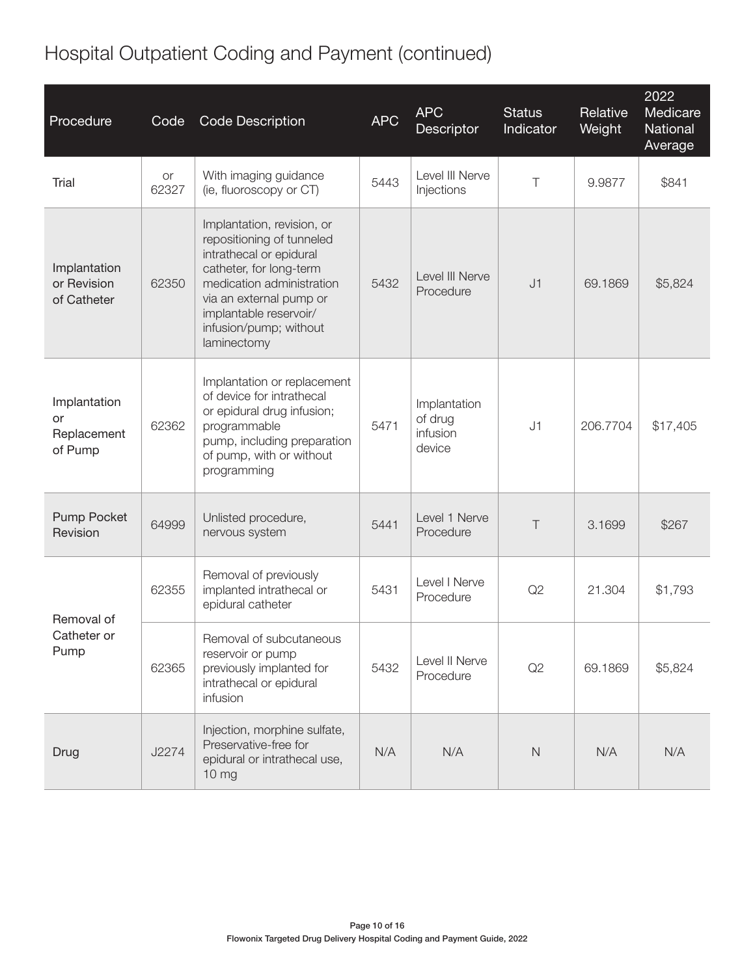## Hospital Outpatient Coding and Payment (continued)

| Procedure                                    | Code        | <b>Code Description</b>                                                                                                                                                                                                                  | <b>APC</b> | <b>APC</b><br>Descriptor                      | <b>Status</b><br>Indicator | Relative<br>Weight | 2022<br>Medicare<br>National<br>Average |
|----------------------------------------------|-------------|------------------------------------------------------------------------------------------------------------------------------------------------------------------------------------------------------------------------------------------|------------|-----------------------------------------------|----------------------------|--------------------|-----------------------------------------|
| Trial                                        | or<br>62327 | With imaging guidance<br>(ie, fluoroscopy or CT)                                                                                                                                                                                         | 5443       | Level III Nerve<br>Injections                 | $\top$                     | 9.9877             | \$841                                   |
| Implantation<br>or Revision<br>of Catheter   | 62350       | Implantation, revision, or<br>repositioning of tunneled<br>intrathecal or epidural<br>catheter, for long-term<br>medication administration<br>via an external pump or<br>implantable reservoir/<br>infusion/pump; without<br>laminectomy | 5432       | Level III Nerve<br>Procedure                  | J1                         | 69.1869            | \$5,824                                 |
| Implantation<br>or<br>Replacement<br>of Pump | 62362       | Implantation or replacement<br>of device for intrathecal<br>or epidural drug infusion;<br>programmable<br>pump, including preparation<br>of pump, with or without<br>programming                                                         | 5471       | Implantation<br>of drug<br>infusion<br>device | J1                         | 206.7704           | \$17,405                                |
| Pump Pocket<br>Revision                      | 64999       | Unlisted procedure,<br>nervous system                                                                                                                                                                                                    | 5441       | Level 1 Nerve<br>Procedure                    | $\top$                     | 3.1699             | \$267                                   |
| Removal of                                   | 62355       | Removal of previously<br>implanted intrathecal or<br>epidural catheter                                                                                                                                                                   | 5431       | Level I Nerve<br>Procedure                    | Q2                         | 21.304             | \$1,793                                 |
| Catheter or<br>Pump                          | 62365       | Removal of subcutaneous<br>reservoir or pump<br>previously implanted for<br>intrathecal or epidural<br>infusion                                                                                                                          | 5432       | Level II Nerve<br>Procedure                   | Q2                         | 69.1869            | \$5,824                                 |
| Drug                                         | J2274       | Injection, morphine sulfate,<br>Preservative-free for<br>epidural or intrathecal use,<br>10 <sub>mg</sub>                                                                                                                                | N/A        | N/A                                           | $\mathsf{N}$               | N/A                | N/A                                     |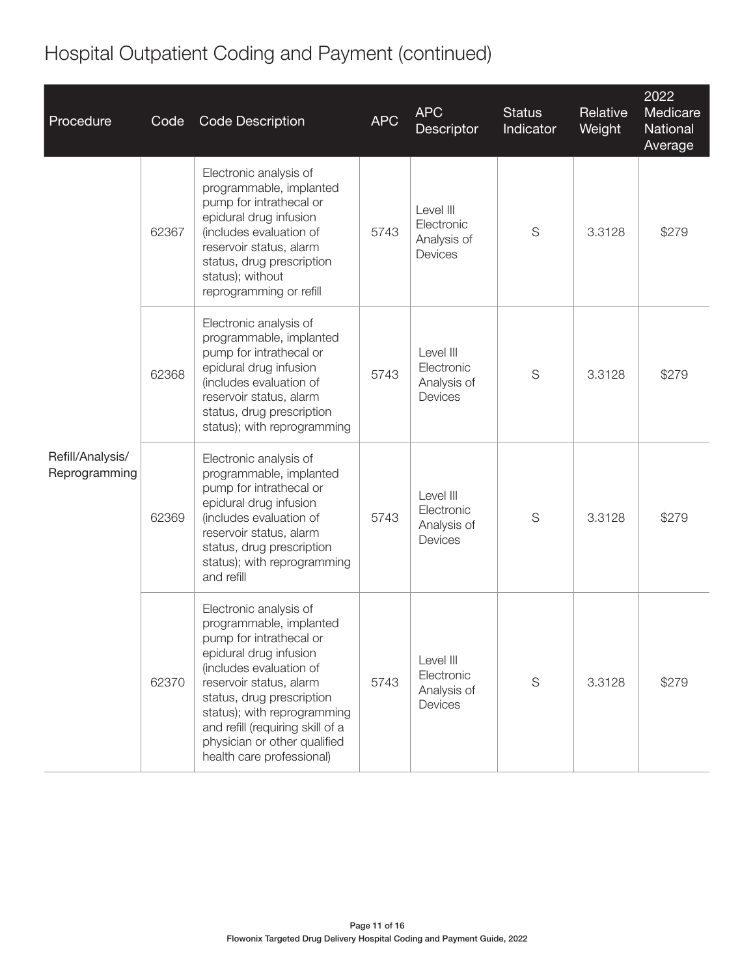#### Procedure Code Code Description APC APC **Descriptor Status Indicator Relative Weight** 2022 **Medicare National** Average Refill/Analysis/ Reprogramming 62367 Electronic analysis of programmable, implanted pump for intrathecal or epidural drug infusion (includes evaluation of reservoir status, alarm status, drug prescription status); without reprogramming or refill 5743 Level III Electronic Analysis of **Devices** S 3.3128 \ \$279 62368 Electronic analysis of programmable, implanted pump for intrathecal or epidural drug infusion (includes evaluation of reservoir status, alarm status, drug prescription status); with reprogramming 5743 Level III **Electronic** Analysis of Devices S 3.3128 \$279 62369 Electronic analysis of programmable, implanted pump for intrathecal or epidural drug infusion (includes evaluation of reservoir status, alarm status, drug prescription status); with reprogramming and refill 5743 Level III **Electronic** Analysis of Devices S 3.3128 \$279 62370 Electronic analysis of programmable, implanted pump for intrathecal or epidural drug infusion (includes evaluation of reservoir status, alarm status, drug prescription status); with reprogramming and refill (requiring skill of a physician or other qualified health care professional) 5743 Level III Electronic Analysis of **Devices** S 3.3128 \ \$279

#### Hospital Outpatient Coding and Payment (continued)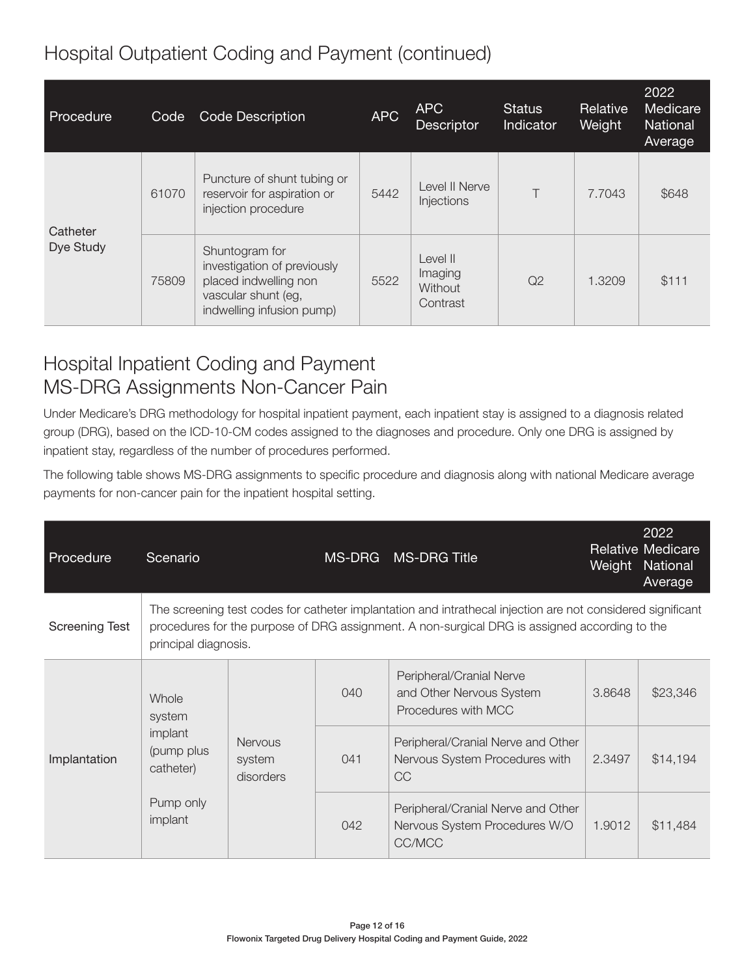#### Hospital Outpatient Coding and Payment (continued)

| Procedure             | Code  | Code Description                                                                                                           | <b>APC</b> | APC<br><b>Descriptor</b>                   | <b>Status</b><br>Indicator | Relative<br>Weight | 2022<br>Medicare<br><b>National</b><br>Average |
|-----------------------|-------|----------------------------------------------------------------------------------------------------------------------------|------------|--------------------------------------------|----------------------------|--------------------|------------------------------------------------|
| Catheter<br>Dye Study | 61070 | Puncture of shunt tubing or<br>reservoir for aspiration or<br>injection procedure                                          | 5442       | Level II Nerve<br>Injections               | T                          | 7.7043             | \$648                                          |
|                       | 75809 | Shuntogram for<br>investigation of previously<br>placed indwelling non<br>vascular shunt (eg,<br>indwelling infusion pump) | 5522       | Level II<br>Imaging<br>Without<br>Contrast | Q2                         | 1.3209             | \$111                                          |

#### Hospital Inpatient Coding and Payment MS-DRG Assignments Non-Cancer Pain

Under Medicare's DRG methodology for hospital inpatient payment, each inpatient stay is assigned to a diagnosis related group (DRG), based on the ICD-10-CM codes assigned to the diagnoses and procedure. Only one DRG is assigned by inpatient stay, regardless of the number of procedures performed.

The following table shows MS-DRG assignments to specific procedure and diagnosis along with national Medicare average payments for non-cancer pain for the inpatient hospital setting.

| Procedure             | Scenario                                                                                                                                                                                                                             |                                       | MS-DRG | <b>MS-DRG Title</b>                                                               |        | 2022<br><b>Relative Medicare</b><br>Weight National<br>Average |  |
|-----------------------|--------------------------------------------------------------------------------------------------------------------------------------------------------------------------------------------------------------------------------------|---------------------------------------|--------|-----------------------------------------------------------------------------------|--------|----------------------------------------------------------------|--|
| <b>Screening Test</b> | The screening test codes for catheter implantation and intrathecal injection are not considered significant<br>procedures for the purpose of DRG assignment. A non-surgical DRG is assigned according to the<br>principal diagnosis. |                                       |        |                                                                                   |        |                                                                |  |
| Implantation          | Whole<br>system<br>implant<br>(pump plus<br>catheter)                                                                                                                                                                                | <b>Nervous</b><br>system<br>disorders | 040    | Peripheral/Cranial Nerve<br>and Other Nervous System<br>Procedures with MCC       | 3.8648 | \$23,346                                                       |  |
|                       |                                                                                                                                                                                                                                      |                                       | 041    | Peripheral/Cranial Nerve and Other<br>Nervous System Procedures with<br><b>CC</b> | 2.3497 | \$14,194                                                       |  |
|                       | Pump only<br>implant                                                                                                                                                                                                                 |                                       | 042    | Peripheral/Cranial Nerve and Other<br>Nervous System Procedures W/O<br>CC/MCC     | 1.9012 | \$11,484                                                       |  |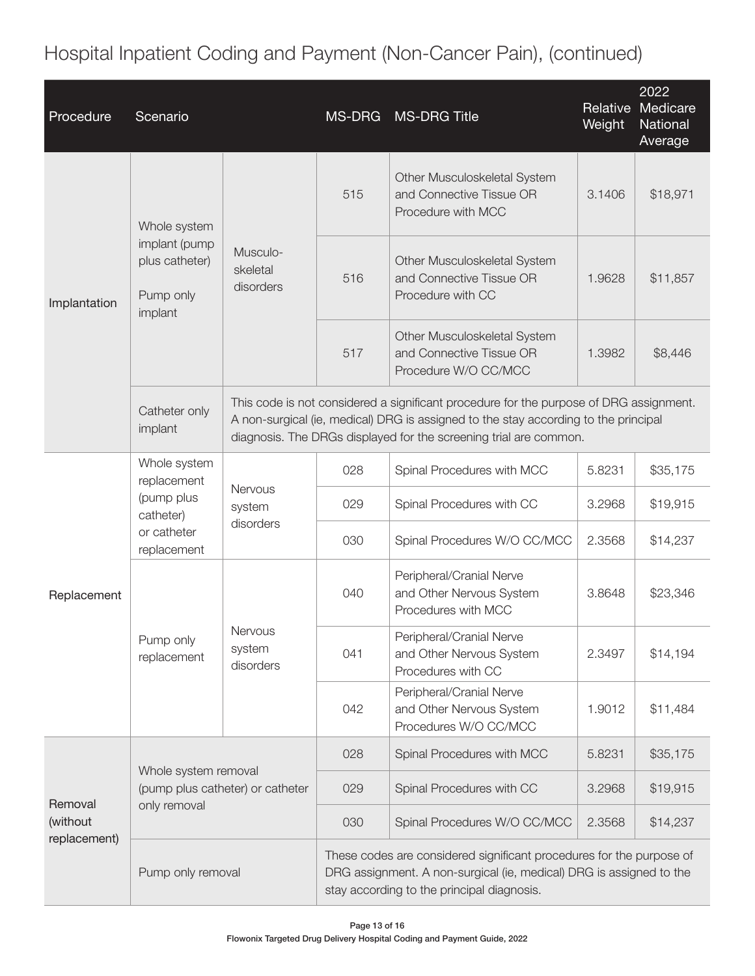Hospital Inpatient Coding and Payment (Non-Cancer Pain), (continued)

| Procedure                           | Scenario                                                                             |                                       | <b>MS-DRG</b>                                                                                                                                                                                                                                      | <b>MS-DRG Title</b>                                                              | Relative<br>Weight | 2022<br>Medicare<br>National<br>Average |  |  |
|-------------------------------------|--------------------------------------------------------------------------------------|---------------------------------------|----------------------------------------------------------------------------------------------------------------------------------------------------------------------------------------------------------------------------------------------------|----------------------------------------------------------------------------------|--------------------|-----------------------------------------|--|--|
| Implantation                        | Whole system<br>implant (pump<br>plus catheter)<br>Pump only<br>implant              | Musculo-<br>skeletal<br>disorders     | 515                                                                                                                                                                                                                                                | Other Musculoskeletal System<br>and Connective Tissue OR<br>Procedure with MCC   | 3.1406             | \$18,971                                |  |  |
|                                     |                                                                                      |                                       | 516                                                                                                                                                                                                                                                | Other Musculoskeletal System<br>and Connective Tissue OR<br>Procedure with CC    | 1.9628             | \$11,857                                |  |  |
|                                     |                                                                                      |                                       | 517                                                                                                                                                                                                                                                | Other Musculoskeletal System<br>and Connective Tissue OR<br>Procedure W/O CC/MCC | 1.3982             | \$8,446                                 |  |  |
|                                     | Catheter only<br>implant                                                             |                                       | This code is not considered a significant procedure for the purpose of DRG assignment.<br>A non-surgical (ie, medical) DRG is assigned to the stay according to the principal<br>diagnosis. The DRGs displayed for the screening trial are common. |                                                                                  |                    |                                         |  |  |
| Replacement                         | Whole system<br>replacement<br>(pump plus<br>catheter)<br>or catheter<br>replacement | Nervous<br>system<br>disorders        | 028                                                                                                                                                                                                                                                | Spinal Procedures with MCC                                                       | 5.8231             | \$35,175                                |  |  |
|                                     |                                                                                      |                                       | 029                                                                                                                                                                                                                                                | Spinal Procedures with CC                                                        | 3.2968             | \$19,915                                |  |  |
|                                     |                                                                                      |                                       | 030                                                                                                                                                                                                                                                | Spinal Procedures W/O CC/MCC                                                     | 2.3568             | \$14,237                                |  |  |
|                                     | Pump only<br>replacement                                                             | <b>Nervous</b><br>system<br>disorders | 040                                                                                                                                                                                                                                                | Peripheral/Cranial Nerve<br>and Other Nervous System<br>Procedures with MCC      | 3.8648             | \$23,346                                |  |  |
|                                     |                                                                                      |                                       | 041                                                                                                                                                                                                                                                | Peripheral/Cranial Nerve<br>and Other Nervous System<br>Procedures with CC       | 2.3497             | \$14,194                                |  |  |
|                                     |                                                                                      |                                       | 042                                                                                                                                                                                                                                                | Peripheral/Cranial Nerve<br>and Other Nervous System<br>Procedures W/O CC/MCC    | 1.9012             | \$11,484                                |  |  |
| Removal<br>(without<br>replacement) | Whole system removal<br>(pump plus catheter) or catheter<br>only removal             |                                       | 028                                                                                                                                                                                                                                                | Spinal Procedures with MCC                                                       | 5.8231             | \$35,175                                |  |  |
|                                     |                                                                                      |                                       | 029                                                                                                                                                                                                                                                | Spinal Procedures with CC                                                        | 3.2968             | \$19,915                                |  |  |
|                                     |                                                                                      |                                       | 030                                                                                                                                                                                                                                                | Spinal Procedures W/O CC/MCC                                                     | 2.3568             | \$14,237                                |  |  |
|                                     | Pump only removal                                                                    |                                       | These codes are considered significant procedures for the purpose of<br>DRG assignment. A non-surgical (ie, medical) DRG is assigned to the<br>stay according to the principal diagnosis.                                                          |                                                                                  |                    |                                         |  |  |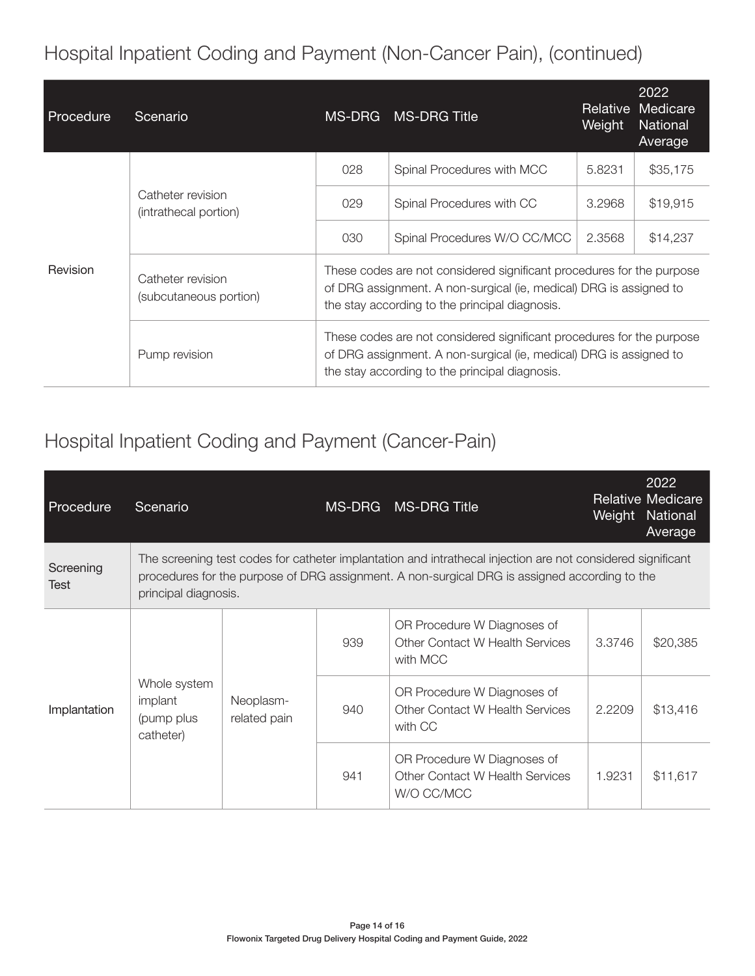Hospital Inpatient Coding and Payment (Non-Cancer Pain), (continued)

| Procedure       | Scenario                                    | MS-DRG                                                                                                                                                                                        | <b>MS-DRG Title</b>          | Relative<br>Weight | 2022<br>Medicare<br><b>National</b><br>Average |
|-----------------|---------------------------------------------|-----------------------------------------------------------------------------------------------------------------------------------------------------------------------------------------------|------------------------------|--------------------|------------------------------------------------|
| <b>Revision</b> |                                             | 028                                                                                                                                                                                           | Spinal Procedures with MCC   | 5.8231             | \$35,175                                       |
|                 | Catheter revision<br>(intrathecal portion)  | 029                                                                                                                                                                                           | Spinal Procedures with CC    | 3.2968             | \$19,915                                       |
|                 |                                             | 030                                                                                                                                                                                           | Spinal Procedures W/O CC/MCC | 2.3568             | \$14,237                                       |
|                 | Catheter revision<br>(subcutaneous portion) | These codes are not considered significant procedures for the purpose<br>of DRG assignment. A non-surgical (ie, medical) DRG is assigned to<br>the stay according to the principal diagnosis. |                              |                    |                                                |
|                 | Pump revision                               | These codes are not considered significant procedures for the purpose<br>of DRG assignment. A non-surgical (ie, medical) DRG is assigned to<br>the stay according to the principal diagnosis. |                              |                    |                                                |

#### Hospital Inpatient Coding and Payment (Cancer-Pain)

| Procedure                | Scenario                                                                                                                                                                                                                             |                           |     | MS-DRG MS-DRG Title                                                                 | Weight | 2022<br><b>Relative Medicare</b><br>National<br>Average |
|--------------------------|--------------------------------------------------------------------------------------------------------------------------------------------------------------------------------------------------------------------------------------|---------------------------|-----|-------------------------------------------------------------------------------------|--------|---------------------------------------------------------|
| Screening<br><b>Test</b> | The screening test codes for catheter implantation and intrathecal injection are not considered significant<br>procedures for the purpose of DRG assignment. A non-surgical DRG is assigned according to the<br>principal diagnosis. |                           |     |                                                                                     |        |                                                         |
| Implantation             | Whole system<br>implant<br>(pump plus<br>catheter)                                                                                                                                                                                   | Neoplasm-<br>related pain | 939 | OR Procedure W Diagnoses of<br><b>Other Contact W Health Services</b><br>with MCC   | 3.3746 | \$20,385                                                |
|                          |                                                                                                                                                                                                                                      |                           | 940 | OR Procedure W Diagnoses of<br><b>Other Contact W Health Services</b><br>with CC    | 2.2209 | \$13,416                                                |
|                          |                                                                                                                                                                                                                                      |                           | 941 | OR Procedure W Diagnoses of<br><b>Other Contact W Health Services</b><br>W/O CC/MCC | 1.9231 | \$11,617                                                |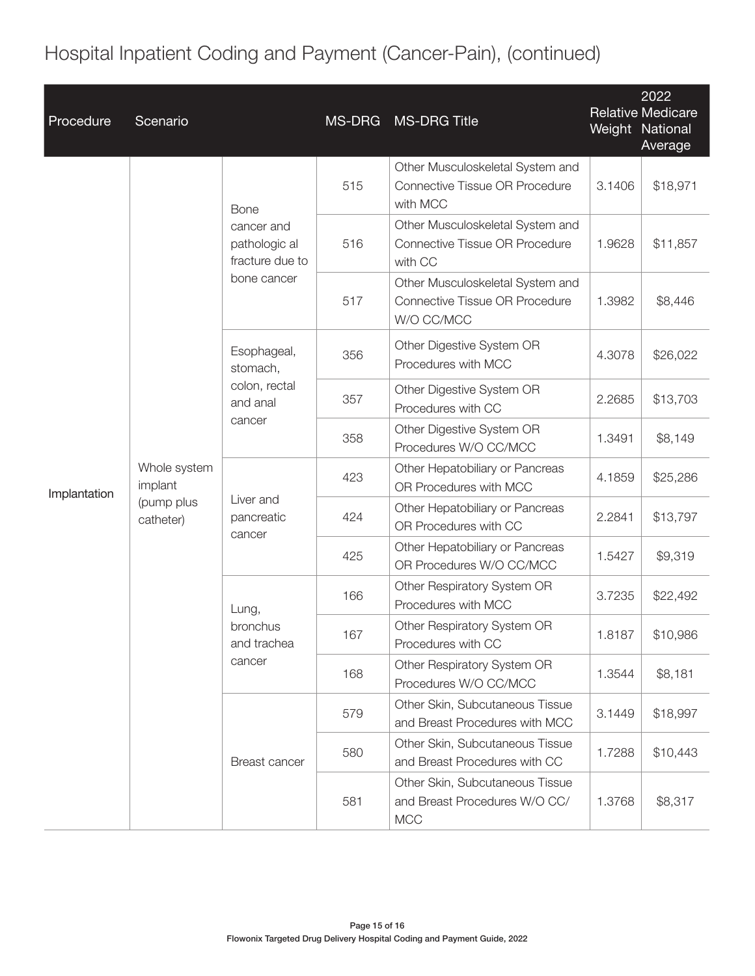## Hospital Inpatient Coding and Payment (Cancer-Pain), (continued)

| Procedure    | Scenario                                           |                                                                              | MS-DRG | <b>MS-DRG Title</b>                                                                   | Weight National | 2022<br><b>Relative Medicare</b><br>Average |
|--------------|----------------------------------------------------|------------------------------------------------------------------------------|--------|---------------------------------------------------------------------------------------|-----------------|---------------------------------------------|
|              | Whole system<br>implant<br>(pump plus<br>catheter) | <b>Bone</b><br>cancer and<br>pathologic al<br>fracture due to<br>bone cancer | 515    | Other Musculoskeletal System and<br><b>Connective Tissue OR Procedure</b><br>with MCC | 3.1406          | \$18,971                                    |
|              |                                                    |                                                                              | 516    | Other Musculoskeletal System and<br>Connective Tissue OR Procedure<br>with CC         | 1.9628          | \$11,857                                    |
|              |                                                    |                                                                              | 517    | Other Musculoskeletal System and<br>Connective Tissue OR Procedure<br>W/O CC/MCC      | 1.3982          | \$8,446                                     |
|              |                                                    | Esophageal,<br>stomach,<br>colon, rectal<br>and anal<br>cancer               | 356    | Other Digestive System OR<br>Procedures with MCC                                      | 4.3078          | \$26,022                                    |
|              |                                                    |                                                                              | 357    | Other Digestive System OR<br>Procedures with CC                                       | 2.2685          | \$13,703                                    |
|              |                                                    |                                                                              | 358    | Other Digestive System OR<br>Procedures W/O CC/MCC                                    | 1.3491          | \$8,149                                     |
| Implantation |                                                    | Liver and<br>pancreatic<br>cancer                                            | 423    | Other Hepatobiliary or Pancreas<br>OR Procedures with MCC                             | 4.1859          | \$25,286                                    |
|              |                                                    |                                                                              | 424    | Other Hepatobiliary or Pancreas<br>OR Procedures with CC                              | 2.2841          | \$13,797                                    |
|              |                                                    |                                                                              | 425    | Other Hepatobiliary or Pancreas<br>OR Procedures W/O CC/MCC                           | 1.5427          | \$9,319                                     |
|              |                                                    | Lung,<br>bronchus<br>and trachea<br>cancer                                   | 166    | Other Respiratory System OR<br>Procedures with MCC                                    | 3.7235          | \$22,492                                    |
|              |                                                    |                                                                              | 167    | Other Respiratory System OR<br>Procedures with CC                                     | 1.8187          | \$10,986                                    |
|              |                                                    |                                                                              | 168    | Other Respiratory System OR<br>Procedures W/O CC/MCC                                  | 1.3544          | \$8,181                                     |
|              |                                                    | Breast cancer                                                                | 579    | Other Skin, Subcutaneous Tissue<br>and Breast Procedures with MCC                     | 3.1449          | \$18,997                                    |
|              |                                                    |                                                                              | 580    | Other Skin, Subcutaneous Tissue<br>and Breast Procedures with CC                      | 1.7288          | \$10,443                                    |
|              |                                                    |                                                                              | 581    | Other Skin, Subcutaneous Tissue<br>and Breast Procedures W/O CC/<br><b>MCC</b>        | 1.3768          | \$8,317                                     |